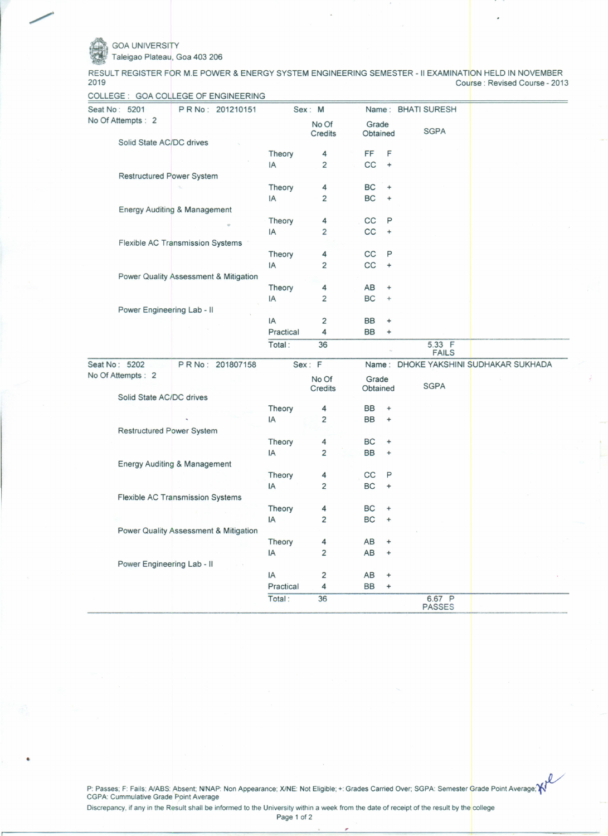GOA UNIVERSITY

•

. Taleigao Plateau, Goa 403 206

RESULT REGISTER FOR M.E POWER & ENERGY SYSTEM ENGINEERING SEMESTER -II EXAMINATION HELD IN NOVEMBER Course: Revised Course - 2013

| COLLEGE : GOA COLLEGE OF ENGINEERING    |           |                         |                   |                                  |                        |                                       |
|-----------------------------------------|-----------|-------------------------|-------------------|----------------------------------|------------------------|---------------------------------------|
| Seat No: 5201<br>PR No: 201210151       |           | Sex: M                  |                   |                                  | Name: BHATI SURESH     |                                       |
| No Of Attempts: 2                       |           | No Of<br>Credits        | Grade<br>Obtained |                                  | <b>SGPA</b>            |                                       |
| Solid State AC/DC drives                |           |                         |                   |                                  |                        |                                       |
|                                         | Theory    | 4                       | FF                | F                                |                        |                                       |
|                                         | IA        | 2                       | cc                | $\ddot{}$                        |                        |                                       |
| <b>Restructured Power System</b>        |           |                         |                   |                                  |                        |                                       |
|                                         | Theory    | 4                       | BC                | $\ddot{}$                        |                        |                                       |
|                                         | IA        | 2                       | BC                | $\ddot{}$                        |                        |                                       |
| Energy Auditing & Management            |           |                         |                   |                                  |                        |                                       |
|                                         | Theory    | 4                       | cc                | P                                |                        |                                       |
|                                         | IA        | $\overline{\mathbf{c}}$ | cc                | $\ddot{}$                        |                        |                                       |
| Flexible AC Transmission Systems        |           |                         |                   |                                  |                        |                                       |
|                                         | Theory    | 4                       | CC                | P                                |                        |                                       |
|                                         | IA        | 2                       | CC                | $\ddot{}$                        |                        |                                       |
| Power Quality Assessment & Mitigation   |           |                         |                   |                                  |                        |                                       |
|                                         | Theory    | 4                       | AB                | $\ddot{}$                        |                        |                                       |
|                                         | IA        | 2                       | BC                | $\ddot{}$                        |                        |                                       |
| Power Engineering Lab - II              |           |                         |                   |                                  |                        |                                       |
|                                         | IA        | 2                       | <b>BB</b>         | $\ddot{}$                        |                        |                                       |
|                                         | Practical | 4                       | BB                | $\ddot{}$                        |                        |                                       |
|                                         | Total:    | 36                      |                   |                                  | 5.33 F<br><b>FAILS</b> |                                       |
| Seat No: 5202<br>PRNo: 201807158        |           | Sex: F                  |                   |                                  |                        | Name: DHOKE YAKSHINI SUDHAKAR SUKHADA |
| No Of Attempts : 2                      |           | No Of                   | Grade             |                                  |                        |                                       |
|                                         |           | <b>Credits</b>          | Obtained          |                                  | <b>SGPA</b>            |                                       |
| Solid State AC/DC drives                |           |                         |                   |                                  |                        |                                       |
|                                         | Theory    | 4                       | BB                | $\ddot{}$                        |                        |                                       |
|                                         | IA        | 2                       | <b>BB</b>         | $\ddot{}$                        |                        |                                       |
| <b>Restructured Power System</b>        |           |                         |                   |                                  |                        |                                       |
|                                         | Theory    | 4                       | BC                | ÷                                |                        |                                       |
|                                         | IA        | 2                       | <b>BB</b>         | $\ddot{}$                        |                        |                                       |
| Energy Auditing & Management            |           |                         |                   |                                  |                        |                                       |
|                                         | Theory    | 4                       | CC                | P                                |                        |                                       |
|                                         | IA        | 2                       | BC                | $\ddot{}$                        |                        |                                       |
| <b>Flexible AC Transmission Systems</b> |           |                         |                   |                                  |                        |                                       |
|                                         | Theory    | 4                       | <b>BC</b>         | $\ddot{}$                        |                        |                                       |
|                                         | IA        | 2                       | <b>BC</b>         | $\ddot{}$                        |                        |                                       |
| Power Quality Assessment & Mitigation   |           |                         |                   |                                  |                        |                                       |
|                                         | Theory    | 4                       | AB                | $\ddot{}$                        |                        |                                       |
|                                         | IA        | 2                       | AB                | $\ddot{}$                        |                        |                                       |
| Power Engineering Lab - II              |           |                         |                   |                                  |                        |                                       |
|                                         | IA        | 2                       | AB                | $\ddot{}$                        |                        |                                       |
|                                         | Practical | 4                       | <b>BB</b>         | $\begin{array}{c} + \end{array}$ |                        |                                       |
|                                         | Total:    | 36                      |                   |                                  | 6.67 P                 |                                       |
|                                         |           |                         |                   |                                  | <b>PASSES</b>          |                                       |

P: Passes; F: Fails; A/ABS: Absent; N/NAP: Non Appearance; X/NE: Not Eligible; +: Grades Carried Over; SGPA: Semester Grade Point Average; l CGPA: Cummulative Grade Point Average

Discrepancy, if any in the Result shall be informed to the University within a week from the date of receipt of the result by the college

Page 1 of 2